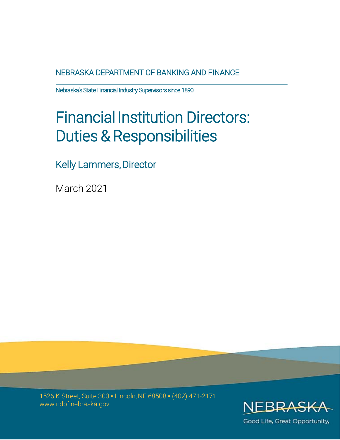NEBRASKA DEPARTMENT OF BANKING AND FINANCE

nebraska's State Financial Industry Supervisors since 1890.

# Financial Institution Directors: Duties & Responsibilities

Kelly Lammers, Director

March 2021

1526 K Street, Suite 300 ▪ Lincoln, NE 68508 ▪ (402) 471-2171 www.ndbf.nebraska.gov



Good Life, Great Opportunity,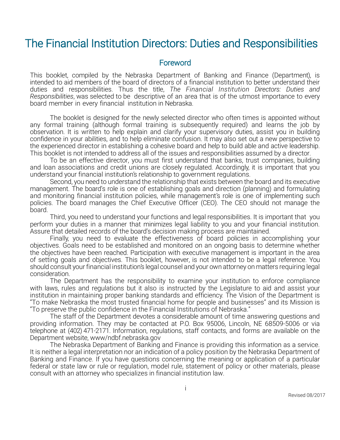# The Financial Institution Directors: Duties and Responsibilities

#### Foreword

This booklet, compiled by the Nebraska Department of Banking and Finance (Department), is intended to aid members of the board of directors of a financial institution to better understand their duties and responsibilities. Thus the title, *The Financial Institution Directors: Duties and Responsibilities*, was selected to be descriptive of an area that is of the utmost importance to every board member in every financial institution in Nebraska.

The booklet is designed for the newly selected director who often times is appointed without any formal training (although formal training is subsequently required) and learns the job by observation. It is written to help explain and clarify your supervisory duties, assist you in building confidence in your abilities, and to help eliminate confusion. It may also set out a new perspective to the experienced director in establishing a cohesive board and help to build able and active leadership. This booklet is not intended to address all of the issues and responsibilities assumed by a director.

To be an effective director, you must first understand that banks, trust companies, building and loan associations and credit unions are closely regulated. Accordingly, it is important that you understand your financial institution's relationship to government regulations.

Second, you need to understand the relationship that exists between the board and its executive management. The board's role is one of establishing goals and direction (planning) and formulating and monitoring financial institution policies, while management's role is one of implementing such policies. The board manages the Chief Executive Officer (CEO). The CEO should not manage the board.

Third, you need to understand your functions and legal responsibilities. It is important that you perform your duties in a manner that minimizes legal liability to you and your financial institution. Assure that detailed records of the board's decision making process are maintained.

Finally, you need to evaluate the effectiveness of board policies in accomplishing your objectives. Goals need to be established and monitored on an ongoing basis to determine whether the objectives have been reached. Participation with executive management is important in the area of setting goals and objectives. This booklet, however, is not intended to be a legal reference. You should consult your financial institution's legal counsel and your own attorney on matters requiring legal consideration.

The Department has the responsibility to examine your institution to enforce compliance with laws, rules and regulations but it also is instructed by the Legislature to aid and assist your institution in maintaining proper banking standards and efficiency. The Vision of the Department is "To make Nebraska the most trusted financial home for people and businesses" and its Mission is "To preserve the public confidence in the Financial Institutions of Nebraska."

The staff of the Department devotes a considerable amount of time answering questions and providing information. They may be contacted at P.O. Box 95006, Lincoln, NE 68509-5006 or via telephone at (402) 471-2171. Information, regulations, staff contacts, and forms are available on the Department website, www/ndbf.nebraska.gov

The Nebraska Department of Banking and Finance is providing this information as a service. It is neither a legal interpretation nor an indication of a policy position by the Nebraska Department of Banking and Finance. If you have questions concerning the meaning or application of a particular federal or state law or rule or regulation, model rule, statement of policy or other materials, please consult with an attorney who specializes in financial institution law.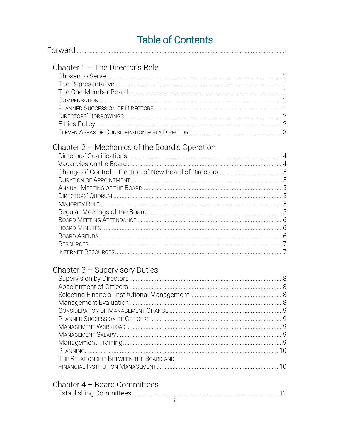# **Table of Contents**

| Chapter $1 -$ The Director's Role                |  |
|--------------------------------------------------|--|
|                                                  |  |
|                                                  |  |
|                                                  |  |
|                                                  |  |
|                                                  |  |
|                                                  |  |
|                                                  |  |
|                                                  |  |
|                                                  |  |
| Chapter $2$ – Mechanics of the Board's Operation |  |
|                                                  |  |
|                                                  |  |
|                                                  |  |
|                                                  |  |
|                                                  |  |
|                                                  |  |
|                                                  |  |
|                                                  |  |
|                                                  |  |
|                                                  |  |
|                                                  |  |
|                                                  |  |
|                                                  |  |
| Chapter $3$ – Supervisory Duties                 |  |
|                                                  |  |
|                                                  |  |
|                                                  |  |
|                                                  |  |
|                                                  |  |
|                                                  |  |
|                                                  |  |
|                                                  |  |
|                                                  |  |
|                                                  |  |
| THE RELATIONSHIP BETWEEN THE BOARD AND           |  |
|                                                  |  |
| Chapter $4 -$ Board Committees                   |  |
|                                                  |  |
| and the contract of the contract of              |  |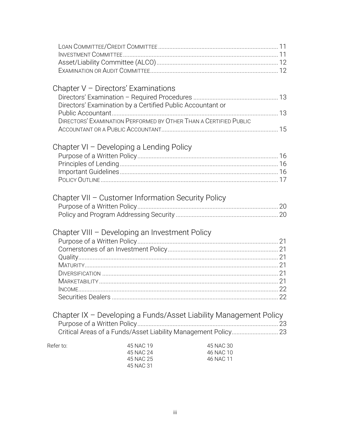|           | Chapter $V$ – Directors' Examinations                      |                                                                   |  |
|-----------|------------------------------------------------------------|-------------------------------------------------------------------|--|
|           | Directors' Examination by a Certified Public Accountant or |                                                                   |  |
|           |                                                            |                                                                   |  |
|           |                                                            | DIRECTORS' EXAMINATION PERFORMED BY OTHER THAN A CERTIFIED PUBLIC |  |
|           |                                                            |                                                                   |  |
|           |                                                            |                                                                   |  |
|           | Chapter VI – Developing a Lending Policy                   |                                                                   |  |
|           |                                                            |                                                                   |  |
|           |                                                            |                                                                   |  |
|           |                                                            |                                                                   |  |
|           |                                                            |                                                                   |  |
|           | Chapter VII - Customer Information Security Policy         |                                                                   |  |
|           |                                                            |                                                                   |  |
|           |                                                            |                                                                   |  |
|           |                                                            |                                                                   |  |
|           | Chapter VIII - Developing an Investment Policy             |                                                                   |  |
|           |                                                            |                                                                   |  |
|           |                                                            |                                                                   |  |
|           |                                                            |                                                                   |  |
|           |                                                            |                                                                   |  |
|           |                                                            |                                                                   |  |
|           |                                                            |                                                                   |  |
|           |                                                            |                                                                   |  |
|           |                                                            |                                                                   |  |
|           |                                                            | Chapter IX - Developing a Funds/Asset Liability Management Policy |  |
|           |                                                            |                                                                   |  |
|           |                                                            | Critical Areas of a Funds/Asset Liability Management Policy 23    |  |
|           |                                                            |                                                                   |  |
| Refer to: | 45 NAC 19<br>45 NAC 24                                     | 45 NAC 30<br>46 NAC 10                                            |  |
|           | 45 NAC 25                                                  | 46 NAC 11                                                         |  |
|           | 45 NAC 31                                                  |                                                                   |  |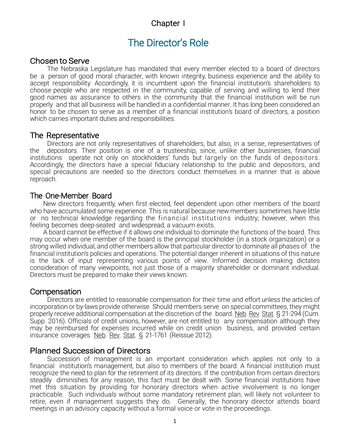# Chapter I

# The Director's Role

#### Chosen to Serve

The Nebraska Legislature has mandated that every member elected to a board of directors be a person of good moral character, with known integrity, business experience and the ability to accept responsibility. Accordingly, it is incumbent upon the financial institution's shareholders to choose people who are respected in the community, capable of serving and willing to lend their good names as assurance to others in the community that the financial institution will be run properly and that all business will be handled in a confidential manner. It has long been considered an honor to be chosen to serve as a member of a financial institution's board of directors, a position which carries important duties and responsibilities.

#### The Representative

Directors are not only representatives of shareholders, but also, in a sense, representatives of the depositors. Their position is one of a trusteeship, since, unlike other businesses, financial institutions operate not only on stockholders' funds but largely on the funds of depositors. Accordingly, the directors have a special fiduciary relationship to the public and depositors, and special precautions are needed so the directors conduct themselves in a manner that is above reproach.

### The One-Member Board

New directors frequently, when first elected, feel dependent upon other members of the board who have accumulated some experience. This is natural because new members sometimes have little or no technical knowledge regarding the financial institutions industry; however, when this feeling becomes deep-seated and widespread, a vacuum exists.

A board cannot be effective if it allows one individual to dominate the functions of the board. This may occur when one member of the board is the principal stockholder (in a stock organization) or a strong willed individual, and other members allow that particular director to dominate all phases of the financial institution's policies and operations. The potential danger inherent in situations of this nature is the lack of input representing various points of view. Informed decision making dictates consideration of many viewpoints, not just those of a majority shareholder or dominant individual. Directors must be prepared to make their views known.

# **Compensation**

Directors are entitled to reasonable compensation for their time and effort unless the articles of incorporation or by-laws provide otherwise. Should members serve on special committees, they might properly receive additional compensation at the discretion of the board. Neb. Rev. Stat. § 21-294 (Cum. Supp. 2016). Officials of credit unions, however, are not entitled to any compensation although they may be reimbursed for expenses incurred while on credit union business, and provided certain insurance coverages. Neb. Rev. Stat. § 21-1761 (Reissue 2012).

#### Planned Succession of Directors

Succession of management is an important consideration which applies not only to a financial institution's management, but also to members of the board. A financial institution must recognize the need to plan for the retirement of its directors. If the contribution from certain directors steadily diminishes for any reason, this fact must be dealt with. Some financial institutions have met this situation by providing for honorary directors when active involvement is no longer practicable. Such individuals without some mandatory retirement plan, will likely not volunteer to retire, even if management suggests they do. Generally, the honorary director attends board meetings in an advisory capacity without a formal voice or vote in the proceedings.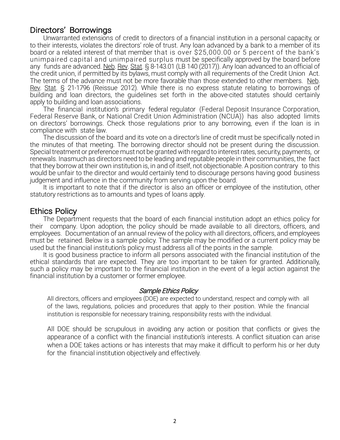# Directors' Borrowings

Unwarranted extensions of credit to directors of a financial institution in a personal capacity, or to their interests, violates the directors' role of trust. Any loan advanced by a bank to a member of its board or a related interest of that member that is over \$25,000.00 or 5 percent of the bank's unimpaired capital and unimpaired surplus must be specifically approved by the board before any funds are advanced. Neb. Rev. Stat. § 8-143.01 (LB 140 (2017)). Any loan advanced to an official of the credit union, if permitted by its bylaws, must comply with all requirements of the Credit Union Act. The terms of the advance must not be more favorable than those extended to other members. Neb. Rev. Stat. § 21-1796 (Reissue 2012). While there is no express statute relating to borrowings of building and loan directors, the guidelines set forth in the above-cited statutes should certainly apply to building and loan associations.

The financial institution's primary federal regulator (Federal Deposit Insurance Corporation, Federal Reserve Bank, or National Credit Union Administration (NCUA)) has also adopted limits on directors' borrowings. Check those regulations prior to any borrowing, even if the loan is in compliance with state law.

The discussion of the board and its vote on a director's line of credit must be specifically noted in the minutes of that meeting. The borrowing director should not be present during the discussion. Special treatment or preference must not be granted with regard to interest rates, security, payments, or renewals. Inasmuch as directors need to be leading and reputable people in their communities, the fact that they borrow at their own institution is, in and of itself, not objectionable. A position contrary to this would be unfair to the director and would certainly tend to discourage persons having good business judgement and influence in the community from serving upon the board.

It is important to note that if the director is also an officer or employee of the institution, other statutory restrictions as to amounts and types of loans apply.

#### Ethics Policy

The Department requests that the board of each financial institution adopt an ethics policy for their company. Upon adoption, the policy should be made available to all directors, officers, and employees. Documentation of an annual review of the policy with all directors, officers, and employees must be retained. Below is a sample policy. The sample may be modified or a current policy may be used but the financial institution's policy must address all of the points in the sample.

It is good business practice to inform all persons associated with the financial institution of the ethical standards that are expected. They are too important to be taken for granted. Additionally, such a policy may be important to the financial institution in the event of a legal action against the financial institution by a customer or former employee.

#### Sample Ethics Policy

All directors, officers and employees (DOE) are expected to understand, respect and comply with all of the laws, regulations, policies and procedures that apply to their position. While the financial institution is responsible for necessary training, responsibility rests with the individual.

All DOE should be scrupulous in avoiding any action or position that conflicts or gives the appearance of a conflict with the financial institution's interests. A conflict situation can arise when a DOE takes actions or has interests that may make it difficult to perform his or her duty for the financial institution objectively and effectively.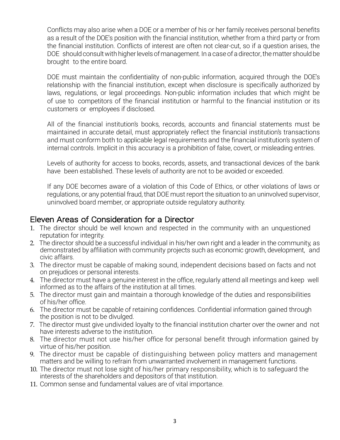Conflicts may also arise when a DOE or a member of his or her family receives personal benefits as a result of the DOE's position with the financial institution, whether from a third party or from the financial institution. Conflicts of interest are often not clear-cut, so if a question arises, the DOE should consult with higher levels of management. In a case of a director, the matter should be brought to the entire board.

DOE must maintain the confidentiality of non-public information, acquired through the DOE's relationship with the financial institution, except when disclosure is specifically authorized by laws, regulations, or legal proceedings. Non-public information includes that which might be of use to competitors of the financial institution or harmful to the financial institution or its customers or employees if disclosed.

All of the financial institution's books, records, accounts and financial statements must be maintained in accurate detail, must appropriately reflect the financial institution's transactions and must conform both to applicable legal requirements and the financial institution's system of internal controls. Implicit in this accuracy is a prohibition of false, covert, or misleading entries.

Levels of authority for access to books, records, assets, and transactional devices of the bank have been established. These levels of authority are not to be avoided or exceeded.

If any DOE becomes aware of a violation of this Code of Ethics, or other violations of laws or regulations, or any potential fraud, that DOE must report the situation to an uninvolved supervisor, uninvolved board member, or appropriate outside regulatory authority.

# Eleven Areas of Consideration for a Director

- 1. The director should be well known and respected in the community with an unquestioned reputation for integrity.
- 2. The director should be a successful individual in his/her own right and a leader in the community, as demonstrated by affiliation with community projects such as economic growth, development, and civic affairs.
- 3. The director must be capable of making sound, independent decisions based on facts and not on prejudices or personal interests.
- 4. The director must have a genuine interest in the office, regularly attend all meetings and keep well informed as to the affairs of the institution at all times.
- 5. The director must gain and maintain a thorough knowledge of the duties and responsibilities of his/her office.
- 6. The director must be capable of retaining confidences. Confidential information gained through the position is not to be divulged.
- 7. The director must give undivided loyalty to the financial institution charter over the owner and not have interests adverse to the institution.
- 8. The director must not use his/her office for personal benefit through information gained by virtue of his/her position.
- 9. The director must be capable of distinguishing between policy matters and management matters and be willing to refrain from unwarranted involvement in management functions.
- 10. The director must not lose sight of his/her primary responsibility, which is to safeguard the interests of the shareholders and depositors of that institution.
- 11. Common sense and fundamental values are of vital importance.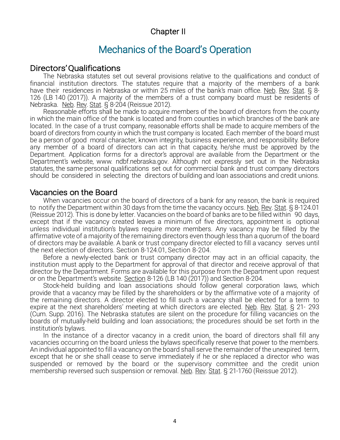# Chapter II

# Mechanics of the Board's Operation

# Directors' Qualifications

The Nebraska statutes set out several provisions relative to the qualifications and conduct of financial institution directors. The statutes require that a majority of the members of a bank have their residences in Nebraska or within 25 miles of the bank's main office. Neb. Rev. Stat. § 8-126 (LB 140 (2017)). A majority of the members of a trust company board must be residents of Nebraska. Neb. Rev. Stat. § 8-204 (Reissue 2012).

Reasonable efforts shall be made to acquire members of the board of directors from the county in which the main office of the bank is located and from counties in which branches of the bank are located. In the case of a trust company, reasonable efforts shall be made to acquire members of the board of directors from county in which the trust company is located. Each member of the board must be a person of good moral character, known integrity, business experience, and responsibility. Before any member of a board of directors can act in that capacity, he/she must be approved by the Department. Application forms for a director's approval are available from the Department or the Department's website, [www.](http://www/) ndbf.nebraska.gov. Although not expressly set out in the Nebraska statutes, the same personal qualifications set out for commercial bank and trust company directors should be considered in selecting the directors of building and loan associations and credit unions.

### Vacancies on the Board

When vacancies occur on the board of directors of a bank for any reason, the bank is required to notify the Department within 30 days from the time the vacancy occurs. Neb. Rev. Stat. § 8-124.01 (Reissue 2012). This is done by letter. Vacancies on the board of banks are to be filled within 90 days, except that if the vacancy created leaves a minimum of five directors, appointment is optional unless individual institution's bylaws require more members. Any vacancy may be filled by the affirmative vote of a majority of the remaining directors even though less than a quorum of the board of directors may be available. A bank or trust company director elected to fill a vacancy serves until the next election of directors. Section 8-124.01, Section 8-204.

Before a newly-elected bank or trust company director may act in an official capacity, the institution must apply to the Department for approval of that director and receive approval of that director by the Department. Forms are available for this purpose from the Department upon request or on the Department's website. Section 8-126 (LB 140 (2017)) and Section 8-204.

Stock-held building and loan associations should follow general corporation laws, which provide that a vacancy may be filled by the shareholders or by the affirmative vote of a majority of the remaining directors. A director elected to fill such a vacancy shall be elected for a term to expire at the next shareholders' meeting at which directors are elected. Neb. Rev. Stat. § 21-293 (Cum. Supp. 2016). The Nebraska statutes are silent on the procedure for filling vacancies on the boards of mutually-held building and loan associations; the procedures should be set forth in the institution's bylaws.

In the instance of a director vacancy in a credit union, the board of directors shall fill any vacancies occurring on the board unless the bylaws specifically reserve that power to the members. An individual appointed to fill a vacancy on the board shall serve the remainder of the unexpired term, except that he or she shall cease to serve immediately if he or she replaced a director who was suspended or removed by the board or the supervisory committee and the credit union membership reversed such suspension or removal. Neb. Rev. Stat. § 21-1760 (Reissue 2012).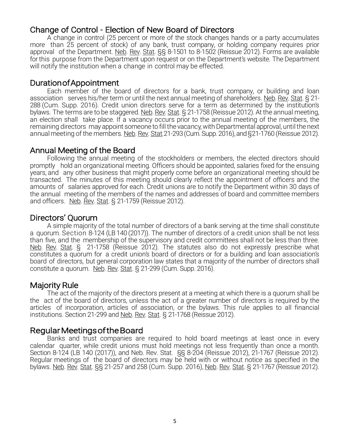# Change of Control - Election of New Board of Directors

A change in control (25 percent or more of the stock changes hands or a party accumulates more than 25 percent of stock) of any bank, trust company, or holding company requires prior approval of the Department. Neb. Rev. Stat. §§ 8-1501 to 8-1502 (Reissue 2012). Forms are available for this purpose from the Department upon request or on the Department's website. The Department will notify the institution when a change in control may be effected.

# Duration of Appointment

Each member of the board of directors for a bank, trust company, or building and loan association serves his/her term or until the next annual meeting of shareholders. Neb. Rev. Stat. § 21-288 (Cum. Supp. 2016). Credit union directors serve for a term as determined by the institution's bylaws. The terms are to be staggered. Neb. Rev. Stat. § 21-1758 (Reissue 2012). At the annual meeting, an election shall take place. If a vacancy occurs prior to the annual meeting of the members, the remaining directors may appoint someone to fill the vacancy, with Departmental approval, until the next annual meeting of the members. Neb. Rev. Stat.21-293(Cum. Supp. 2016), and §21-1760 (Reissue 2012).

# Annual Meeting of the Board

Following the annual meeting of the stockholders or members, the elected directors should promptly hold an organizational meeting. Officers should be appointed, salaries fixed for the ensuing years, and any other business that might properly come before an organizational meeting should be transacted. The minutes of this meeting should clearly reflect the appointment of officers and the amounts of salaries approved for each. Credit unions are to notify the Department within 30 days of the annual meeting of the members of the names and addresses of board and committee members and officers. Neb. Rev. Stat. § 21-1759 (Reissue 2012).

# Directors' Quorum

A simple majority of the total number of directors of a bank serving at the time shall constitute a quorum. Section 8-124 (LB 140 (2017)). The number of directors of a credit union shall be not less than five, and the membership of the supervisory and credit committees shall not be less than three. Neb. Rev. Stat. § 21-1758 (Reissue 2012). The statutes also do not expressly prescribe what constitutes a quorum for a credit union's board of directors or for a building and loan association's board of directors, but general corporation law states that a majority of the number of directors shall constitute a quorum. Neb. Rev. Stat. § 21-299 (Cum. Supp. 2016).

# Majority Rule

The act of the majority of the directors present at a meeting at which there is a quorum shall be the act of the board of directors, unless the act of a greater number of directors is required by the articles of incorporation, articles of association, or the bylaws. This rule applies to all financial institutions. Section 21-299 and Neb. Rev. Stat. § 21-1768 (Reissue 2012).

# Regular Meetings of the Board

Banks and trust companies are required to hold board meetings at least once in every calendar quarter, while credit unions must hold meetings not less frequently than once a month. Section 8-124 (LB 140 (2017)), and Neb. Rev. Stat. §§ 8-204 (Reissue 2012), 21-1767 (Reissue 2012). Regular meetings of the board of directors may be held with or without notice as specified in the bylaws. Neb. Rev. Stat. §§ 21-257 and 258 (Cum. Supp. 2016), Neb. Rev. Stat. § 21-1767 (Reissue 2012).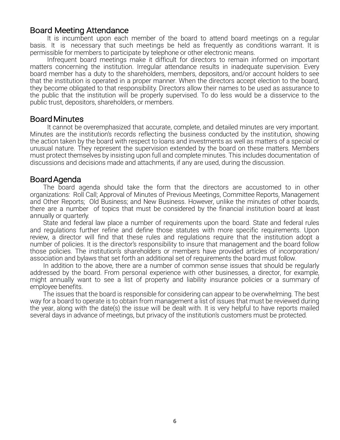# Board Meeting Attendance

It is incumbent upon each member of the board to attend board meetings on a regular basis. It is necessary that such meetings be held as frequently as conditions warrant. It is permissible for members to participate by telephone or other electronic means.

Infrequent board meetings make it difficult for directors to remain informed on important matters concerning the institution. Irregular attendance results in inadequate supervision. Every board member has a duty to the shareholders, members, depositors, and/or account holders to see that the institution is operated in a proper manner. When the directors accept election to the board, they become obligated to that responsibility. Directors allow their names to be used as assurance to the public that the institution will be properly supervised. To do less would be a disservice to the public trust, depositors, shareholders, or members.

### Board Minutes

It cannot be overemphasized that accurate, complete, and detailed minutes are very important. Minutes are the institution's records reflecting the business conducted by the institution, showing the action taken by the board with respect to loans and investments as well as matters of a special or unusual nature. They represent the supervision extended by the board on these matters. Members must protect themselves by insisting upon full and complete minutes. This includes documentation of discussions and decisions made and attachments, if any are used, during the discussion.

### Board Agenda

The board agenda should take the form that the directors are accustomed to in other organizations: Roll Call; Approval of Minutes of Previous Meetings, Committee Reports, Management and Other Reports; Old Business; and New Business. However, unlike the minutes of other boards, there are a number of topics that must be considered by the financial institution board at least annually or quarterly.

State and federal law place a number of requirements upon the board. State and federal rules and regulations further refine and define those statutes with more specific requirements. Upon review, a director will find that these rules and regulations require that the institution adopt a number of policies. It is the director's responsibility to insure that management and the board follow those policies. The institution's shareholders or members have provided articles of incorporation/ association and bylaws that set forth an additional set of requirements the board must follow.

In addition to the above, there are a number of common sense issues that should be regularly addressed by the board. From personal experience with other businesses, a director, for example, might annually want to see a list of property and liability insurance policies or a summary of employee benefits.

The issues that the board is responsible for considering can appear to be overwhelming. The best way for a board to operate is to obtain from management a list of issues that must be reviewed during the year, along with the date(s) the issue will be dealt with. It is very helpful to have reports mailed several days in advance of meetings, but privacy of the institution's customers must be protected.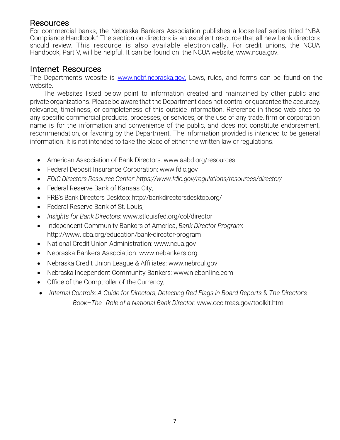# Resources

For commercial banks, the Nebraska Bankers Association publishes a loose-leaf series titled "NBA Compliance Handbook." The section on directors is an excellent resource that all new bank directors should review. This resource is also available electronically. For credit unions, the NCUA Handbook, Part V, will be helpful. It can be found on the NCUA website, [www.ncua.gov.](http://www.ncua.gov/)

### Internet Resources

The Department's website is www.ndbf.nebraska.gov. Laws, rules, and forms can be found on the website.

The websites listed below point to information created and maintained by other public and private organizations. Please be aware that the Department does not control or guarantee the accuracy, relevance, timeliness, or completeness of this outside information. Reference in these web sites to any specific commercial products, processes, or services, or the use of any trade, firm or corporation name is for the information and convenience of the public, and does not constitute endorsement, recommendation, or favoring by the Department. The information provided is intended to be general information. It is not intended to take the place of either the written law or regulations.

- American Association of Bank Directors: [www.aabd.org/resources](http://www.aabd.org/resources)
- Federal Deposit Insurance Corporation: [www.fdic.gov](http://www.fdic.gov/)
- *FDIC Directors Resource Center: https://www.fdic.gov/regulations/resources/director/*
- Federal Reserve Bank of Kansas City,
- FRB's Bank Directors Desktop: http://bankdirectorsdesktop.org/
- Federal Reserve Bank of St. Louis,
- *Insights for Bank Directors*: [www.stlouisfed.org/col/director](http://www.stlouisfed.org/col/director)
- Independent Community Bankers of America, *Bank Director Program*: http://www.icba.org/education/bank-director-program
- National Credit Union Administration: [www.ncua.gov](http://www.ncua.gov/)
- Nebraska Bankers Association: www.nebankers.org
- Nebraska Credit Union League & Affiliates: [www.nebrcul.gov](http://www.nebrcul.gov/)
- Nebraska Independent Community Banker[s: www.nicbonline.com](http://www.nicbonline.com/)
- Office of the Comptroller of the Currency,
- *Internal Controls: A Guide for Directors*, *Detecting Red Flags in Board Reports* & *The Director's Book–The Role of a National Bank Director*[: www.occ.treas.gov/toolkit.htm](http://www.occ.treas.gov/toolkit.htm)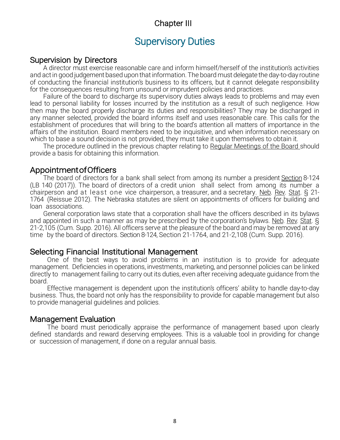# Chapter III

# Supervisory Duties

#### Supervision by Directors

A director must exercise reasonable care and inform himself/herself of the institution's activities and act in good judgement based upon that information. The board must delegate the day-to-day routine of conducting the financial institution's business to its officers, but it cannot delegate responsibility for the consequences resulting from unsound or imprudent policies and practices.

Failure of the board to discharge its supervisory duties always leads to problems and may even lead to personal liability for losses incurred by the institution as a result of such negligence. How then may the board properly discharge its duties and responsibilities? They may be discharged in any manner selected, provided the board informs itself and uses reasonable care. This calls for the establishment of procedures that will bring to the board's attention all matters of importance in the affairs of the institution. Board members need to be inquisitive, and when information necessary on which to base a sound decision is not provided, they must take it upon themselves to obtain it.

The procedure outlined in the previous chapter relating to Regular Meetings of the Board should provide a basis for obtaining this information.

### Appointment of Officers

The board of directors for a bank shall select from among its number a president Section 8-124 (LB 140 (2017)). The board of directors of a credit union shall select from among its number a chairperson and at least one vice chairperson, a treasurer, and a secretary. Neb. Rev. Stat. § 21-1764 (Reissue 2012). The Nebraska statutes are silent on appointments of officers for building and loan associations.

General corporation laws state that a corporation shall have the officers described in its bylaws and appointed in such a manner as may be prescribed by the corporation's bylaws. Neb. Rev. Stat. § 21-2,105 (Cum. Supp. 2016). All officers serve at the pleasure of the board and may be removed at any time by the board of directors. Section 8-124, Section 21-1764, and 21-2,108 (Cum. Supp. 2016).

#### Selecting Financial Institutional Management

One of the best ways to avoid problems in an institution is to provide for adequate management. Deficiencies in operations, investments, marketing, and personnel policies can be linked directly to management failing to carry out its duties, even after receiving adequate guidance from the board.

Effective management is dependent upon the institution's officers' ability to handle day-to-day business. Thus, the board not only has the responsibility to provide for capable management but also to provide managerial guidelines and policies.

#### Management Evaluation

The board must periodically appraise the performance of management based upon clearly defined standards and reward deserving employees. This is a valuable tool in providing for change or succession of management, if done on a regular annual basis.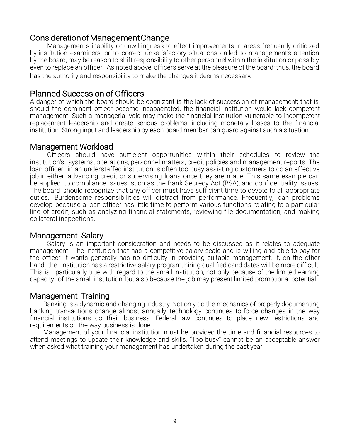### Consideration of Management Change

Management's inability or unwillingness to effect improvements in areas frequently criticized by institution examiners, or to correct unsatisfactory situations called to management's attention by the board, may be reason to shift responsibility to other personnel within the institution or possibly even to replace an officer. As noted above, officers serve at the pleasure of the board; thus, the board has the authority and responsibility to make the changes it deems necessary.

#### Planned Succession of Officers

A danger of which the board should be cognizant is the lack of succession of management; that is, should the dominant officer become incapacitated, the financial institution would lack competent management. Such a managerial void may make the financial institution vulnerable to incompetent replacement leadership and create serious problems, including monetary losses to the financial institution. Strong input and leadership by each board member can guard against such a situation.

#### Management Workload

Officers should have sufficient opportunities within their schedules to review the institution's systems, operations, personnel matters, credit policies and management reports. The loan officer in an understaffed institution is often too busy assisting customers to do an effective job in either advancing credit or supervising loans once they are made. This same example can be applied to compliance issues, such as the Bank Secrecy Act (BSA), and confidentiality issues. The board should recognize that any officer must have sufficient time to devote to all appropriate duties. Burdensome responsibilities will distract from performance. Frequently, loan problems develop because a loan officer has little time to perform various functions relating to a particular line of credit, such as analyzing financial statements, reviewing file documentation, and making collateral inspections.

#### Management Salary

Salary is an important consideration and needs to be discussed as it relates to adequate management. The institution that has a competitive salary scale and is willing and able to pay for the officer it wants generally has no difficulty in providing suitable management. If, on the other hand, the institution has a restrictive salary program, hiring qualified candidates will be more difficult. This is particularly true with regard to the small institution, not only because of the limited earning capacity of the small institution, but also because the job may present limited promotional potential.

#### Management Training

Banking is a dynamic and changing industry. Not only do the mechanics of properly documenting banking transactions change almost annually, technology continues to force changes in the way financial institutions do their business. Federal law continues to place new restrictions and requirements on the way business is done.

Management of your financial institution must be provided the time and financial resources to attend meetings to update their knowledge and skills. "Too busy" cannot be an acceptable answer when asked what training your management has undertaken during the past year.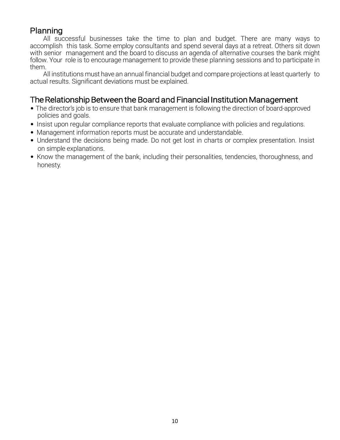# Planning

All successful businesses take the time to plan and budget. There are many ways to accomplish this task. Some employ consultants and spend several days at a retreat. Others sit down with senior management and the board to discuss an agenda of alternative courses the bank might follow. Your role is to encourage management to provide these planning sessions and to participate in them.

All institutions must have an annual financial budget and compare projections at least quarterly to actual results. Significant deviations must be explained.

# The Relationship Between the Board and Financial Institution Management

- The director's job is to ensure that bank management is following the direction of board-approved policies and goals.
- Insist upon regular compliance reports that evaluate compliance with policies and regulations.
- Management information reports must be accurate and understandable.
- Understand the decisions being made. Do not get lost in charts or complex presentation. Insist on simple explanations.
- Know the management of the bank, including their personalities, tendencies, thoroughness, and honesty.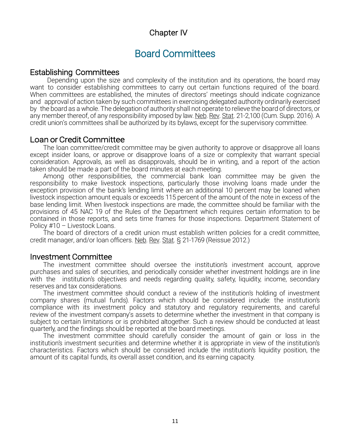# Chapter IV

# Board Committees

#### Establishing Committees

Depending upon the size and complexity of the institution and its operations, the board may want to consider establishing committees to carry out certain functions required of the board. When committees are established, the minutes of directors' meetings should indicate cognizance and approval of action taken by such committees in exercising delegated authority ordinarily exercised by the board as a whole. The delegation of authority shall not operate to relieve the board of directors, or any member thereof, of any responsibility imposed by law. Neb. Rev. Stat. 21-2,100 (Cum. Supp. 2016). A credit union's committees shall be authorized by its bylaws, except for the supervisory committee.

#### Loan or Credit Committee

The loan committee/credit committee may be given authority to approve or disapprove all loans except insider loans, or approve or disapprove loans of a size or complexity that warrant special consideration. Approvals, as well as disapprovals, should be in writing, and a report of the action taken should be made a part of the board minutes at each meeting.

Among other responsibilities, the commercial bank loan committee may be given the responsibility to make livestock inspections, particularly those involving loans made under the exception provision of the bank's lending limit where an additional 10 percent may be loaned when livestock inspection amount equals or exceeds 115 percent of the amount of the note in excess of the base lending limit. When livestock inspections are made, the committee should be familiar with the provisions of 45 NAC 19 of the Rules of the Department which requires certain information to be contained in those reports, and sets time frames for those inspections. Department Statement of Policy #10 - Livestock Loans.

The board of directors of a credit union must establish written policies for a credit committee, credit manager, and/or loan officers. Neb. Rev. Stat. § 21-1769 (Reissue 2012.)

#### Investment Committee

The investment committee should oversee the institution's investment account, approve purchases and sales of securities, and periodically consider whether investment holdings are in line with the institution's objectives and needs regarding quality, safety, liquidity, income, secondary reserves and tax considerations.

The investment committee should conduct a review of the institution's holding of investment company shares (mutual funds). Factors which should be considered include: the institution's compliance with its investment policy and statutory and regulatory requirements, and careful review of the investment company's assets to determine whether the investment in that company is subject to certain limitations or is prohibited altogether. Such a review should be conducted at least quarterly, and the findings should be reported at the board meetings.

The investment committee should carefully consider the amount of gain or loss in the institution's investment securities and determine whether it is appropriate in view of the institution's characteristics. Factors which should be considered include the institution's liquidity position, the amount of its capital funds, its overall asset condition, and its earning capacity.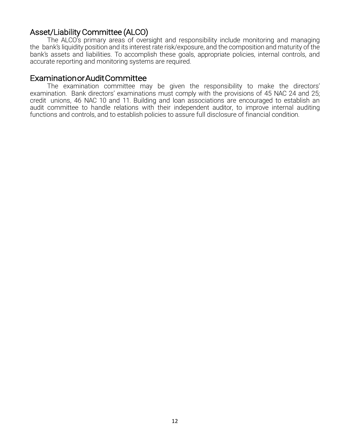# Asset/Liability Committee (ALCO)

The ALCO's primary areas of oversight and responsibility include monitoring and managing the bank's liquidity position and its interest rate risk/exposure, and the composition and maturity of the bank's assets and liabilities. To accomplish these goals, appropriate policies, internal controls, and accurate reporting and monitoring systems are required.

#### Examination or Audit Committee

The examination committee may be given the responsibility to make the directors' examination. Bank directors' examinations must comply with the provisions of 45 NAC 24 and 25; credit unions, 46 NAC 10 and 11. Building and loan associations are encouraged to establish an audit committee to handle relations with their independent auditor, to improve internal auditing functions and controls, and to establish policies to assure full disclosure of financial condition.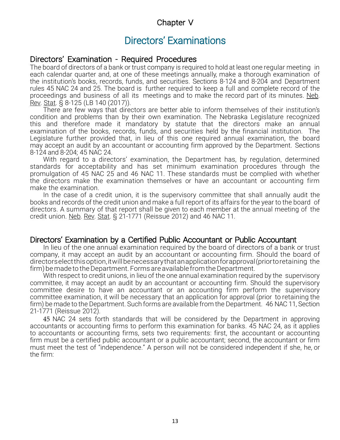# Chapter V

# Directors' Examinations

#### Directors' Examination - Required Procedures

The board of directors of a bank or trust company is required to hold at least one regular meeting in each calendar quarter and, at one of these meetings annually, make a thorough examination of the institution's books, records, funds, and securities. Sections 8-124 and 8-204 and Department rules 45 NAC 24 and 25. The board is further required to keep a full and complete record of the proceedings and business of all its meetings and to make the record part of its minutes. Neb. Rev. Stat. § 8-125 (LB 140 (2017)).

There are few ways that directors are better able to inform themselves of their institution's condition and problems than by their own examination. The Nebraska Legislature recognized this and therefore made it mandatory by statute that the directors make an annual examination of the books, records, funds, and securities held by the financial institution. The Legislature further provided that, in lieu of this one required annual examination, the board may accept an audit by an accountant or accounting firm approved by the Department. Sections 8-124 and 8-204; 45 NAC 24.

With regard to a directors' examination, the Department has, by regulation, determined standards for acceptability and has set minimum examination procedures through the promulgation of 45 NAC 25 and 46 NAC 11. These standards must be complied with whether the directors make the examination themselves or have an accountant or accounting firm make the examination.

In the case of a credit union, it is the supervisory committee that shall annually audit the books and records of the credit union and make a full report of its affairs for the year to the board of directors. A summary of that report shall be given to each member at the annual meeting of the credit union. Neb. Rev. Stat. § 21-1771 (Reissue 2012) and 46 NAC 11.

# Directors' Examination by a Certified Public Accountant or Public Accountant<br>In lieu of the one annual examination required by the board of directors of a bank or trust

company, it may accept an audit by an accountant or accounting firm. Should the board of directorselectthisoption,itwillbenecessarythatanapplicationforapproval(priortoretaining the firm) be made to the Department. Forms are available from the Department.

With respect to credit unions, in lieu of the one annual examination required by the supervisory committee, it may accept an audit by an accountant or accounting firm. Should the supervisory committee desire to have an accountant or an accounting firm perform the supervisory committee examination, it will be necessary that an application for approval (prior to retaining the firm) be made to the Department. Such forms are available from the Department. 46 NAC 11, Section 21-1771 (Reissue 2012).

45 NAC 24 sets forth standards that will be considered by the Department in approving accountants or accounting firms to perform this examination for banks. 45 NAC 24, as it applies to accountants or accounting firms, sets two requirements: first, the accountant or accounting firm must be a certified public accountant or a public accountant; second, the accountant or firm must meet the test of "independence." A person will not be considered independent if she, he, or the firm: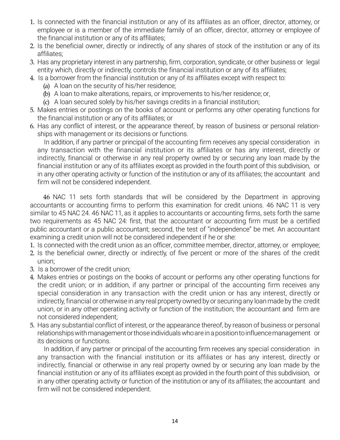- 1. Is connected with the financial institution or any of its affiliates as an officer, director, attorney, or employee or is a member of the immediate family of an officer, director, attorney or employee of the financial institution or any of its affiliates;
- 2. Is the beneficial owner, directly or indirectly, of any shares of stock of the institution or any of its affiliates;
- 3. Has any proprietary interest in any partnership, firm, corporation, syndicate, or other business or legal entity which, directly or indirectly, controls the financial institution or any of its affiliates;
- 4. Is a borrower from the financial institution or any of its affiliates except with respect to:
	- (a) A loan on the security of his/her residence;
	- (b) A loan to make alterations, repairs, or improvements to his/her residence; or,
	- (c) A loan secured solely by his/her savings credits in a financial institution;
- 5. Makes entries or postings on the books of account or performs any other operating functions for the financial institution or any of its affiliates; or
- 6. Has any conflict of interest, or the appearance thereof, by reason of business or personal relationships with management or its decisions or functions.

In addition, if any partner or principal of the accounting firm receives any special consideration in any transaction with the financial institution or its affiliates or has any interest, directly or indirectly, financial or otherwise in any real property owned by or securing any loan made by the financial institution or any of its affiliates except as provided in the fourth point of this subdivision, or in any other operating activity or function of the institution or any of its affiliates; the accountant and firm will not be considered independent.

46 NAC 11 sets forth standards that will be considered by the Department in approving accountants or accounting firms to perform this examination for credit unions. 46 NAC 11 is very similar to 45 NAC 24. 46 NAC 11, as it applies to accountants or accounting firms, sets forth the same two requirements as 45 NAC 24: first, that the accountant or accounting firm must be a certified public accountant or a public accountant; second, the test of "independence" be met. An accountant examining a credit union will not be considered independent if he or she:

- 1. Is connected with the credit union as an officer, committee member, director, attorney, or employee;
- 2. Is the beneficial owner, directly or indirectly, of five percent or more of the shares of the credit union;
- 3. Is a borrower of the credit union;
- 4. Makes entries or postings on the books of account or performs any other operating functions for the credit union; or in addition, if any partner or principal of the accounting firm receives any special consideration in any transaction with the credit union or has any interest, directly or indirectly, financial or otherwise in any real property owned by or securing any loan made by the credit union, or in any other operating activity or function of the institution; the accountant and firm are not considered independent;
- 5. Has any substantial conflict of interest, or the appearance thereof, by reason of business or personal relationships with management or those individuals who are in a position to influence management or its decisions or functions.

In addition, if any partner or principal of the accounting firm receives any special consideration in any transaction with the financial institution or its affiliates or has any interest, directly or indirectly, financial or otherwise in any real property owned by or securing any loan made by the financial institution or any of its affiliates except as provided in the fourth point of this subdivision, or in any other operating activity or function of the institution or any of its affiliates; the accountant and firm will not be considered independent.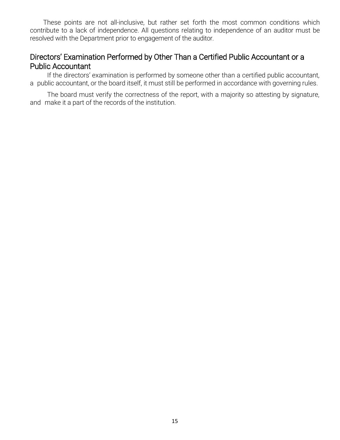These points are not all-inclusive, but rather set forth the most common conditions which contribute to a lack of independence. All questions relating to independence of an auditor must be resolved with the Department prior to engagement of the auditor.

# Directors' Examination Performed by Other Than a Certified Public Accountant or a Public Accountant

If the directors' examination is performed by someone other than a certified public accountant, a public accountant, or the board itself, it must still be performed in accordance with governing rules.

The board must verify the correctness of the report, with a majority so attesting by signature, and make it a part of the records of the institution.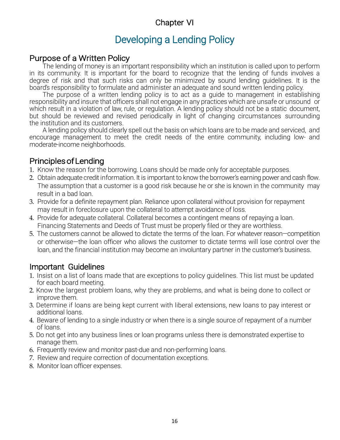# Chapter VI

# Developing a Lending Policy

# Purpose of a Written Policy

The lending of money is an important responsibility which an institution is called upon to perform in its community. It is important for the board to recognize that the lending of funds involves a degree of risk and that such risks can only be minimized by sound lending guidelines. It is the board's responsibility to formulate and administer an adequate and sound written lending policy.

The purpose of a written lending policy is to act as a guide to management in establishing responsibility and insure that officers shall not engage in any practices which are unsafe or unsound or which result in a violation of law, rule, or regulation. A lending policy should not be a static document, but should be reviewed and revised periodically in light of changing circumstances surrounding the institution and its customers.

A lending policy should clearly spell out the basis on which loans are to be made and serviced, and encourage management to meet the credit needs of the entire community, including low- and moderate-income neighborhoods.

# Principles of Lending

- 1. Know the reason for the borrowing. Loans should be made only for acceptable purposes.
- 2. Obtain adequate credit information. It is important to know the borrower's earning power and cash flow. The assumption that a customer is a good risk because he or she is known in the community may result in a bad loan.
- 3. Provide for a definite repayment plan. Reliance upon collateral without provision for repayment may result in foreclosure upon the collateral to attempt avoidance of loss.
- 4. Provide for adequate collateral. Collateral becomes a contingent means of repaying a loan. Financing Statements and Deeds of Trust must be properly filed or they are worthless.
- 5. The customers cannot be allowed to dictate the terms of the loan. For whatever reason—competition or otherwise—the loan officer who allows the customer to dictate terms will lose control over the loan, and the financial institution may become an involuntary partner in the customer's business.

# Important Guidelines

- 1. Insist on a list of loans made that are exceptions to policy guidelines. This list must be updated for each board meeting.
- 2. Know the largest problem loans, why they are problems, and what is being done to collect or improve them.
- 3. Determine if loans are being kept current with liberal extensions, new loans to pay interest or additional loans.
- 4. Beware of lending to a single industry or when there is a single source of repayment of a number of loans.
- 5. Do not get into any business lines or loan programs unless there is demonstrated expertise to manage them.
- 6. Frequently review and monitor past-due and non-performing loans.
- 7. Review and require correction of documentation exceptions.
- 8. Monitor loan officer expenses.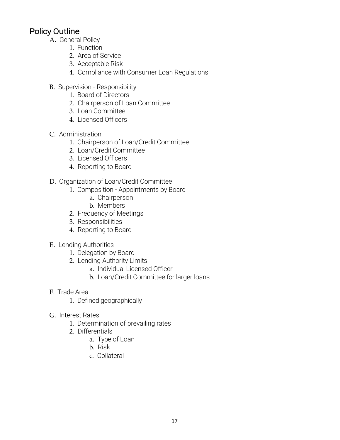# Policy Outline

- A. General Policy
	- 1. Function
	- 2. Area of Service
	- 3. Acceptable Risk
	- 4. Compliance with Consumer Loan Regulations
- B. Supervision Responsibility
	- 1. Board of Directors
	- 2. Chairperson of Loan Committee
	- 3. Loan Committee
	- 4. Licensed Officers
- C. Administration
	- 1. Chairperson of Loan/Credit Committee
	- 2. Loan/Credit Committee
	- 3. Licensed Officers
	- 4. Reporting to Board
- D. Organization of Loan/Credit Committee
	- 1. Composition Appointments by Board
		- a. Chairperson
		- b. Members
		- 2. Frequency of Meetings
		- 3. Responsibilities
		- 4. Reporting to Board
- E. Lending Authorities
	- 1. Delegation by Board
	- 2. Lending Authority Limits
		- a. Individual Licensed Officer
		- b. Loan/Credit Committee for larger loans
- F. Trade Area
	- 1. Defined geographically
- G. Interest Rates
	- 1. Determination of prevailing rates
	- 2. Differentials
		- a. Type of Loan
		- b. Risk
		- c. Collateral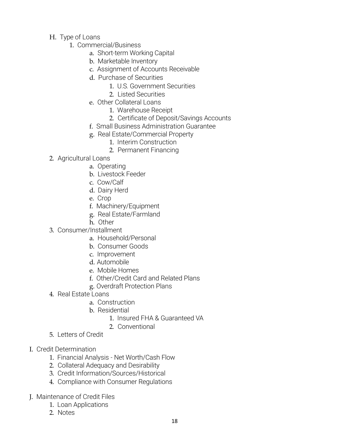- H. Type of Loans
	- 1. Commercial/Business
		- a. Short-term Working Capital
		- b. Marketable Inventory
		- c. Assignment of Accounts Receivable
		- d. Purchase of Securities
			- 1. U.S. Government Securities
			- 2. Listed Securities
		- e. Other Collateral Loans
			- 1. Warehouse Receipt
			- 2. Certificate of Deposit/Savings Accounts
		- f. Small Business Administration Guarantee
		- g. Real Estate/Commercial Property
			- 1. Interim Construction
			- 2. Permanent Financing
- 2. Agricultural Loans
	- a. Operating
	- b. Livestock Feeder
	- c. Cow/Calf
	- d. Dairy Herd
	- e. Crop
	- f. Machinery/Equipment
	- g. Real Estate/Farmland
	- h. Other
- 3. Consumer/Installment
	- a. Household/Personal
	- b. Consumer Goods
	- c. Improvement
	- d. Automobile
	- e. Mobile Homes
	- f. Other/Credit Card and Related Plans
	- g. Overdraft Protection Plans
- 4. Real Estate Loans
	- a. Construction
	- b. Residential
		- 1. Insured FHA & Guaranteed VA
		- 2. Conventional
- 5. Letters of Credit
- I. Credit Determination
	- 1. Financial Analysis Net Worth/Cash Flow
	- 2. Collateral Adequacy and Desirability
	- 3. Credit Information/Sources/Historical
	- 4. Compliance with Consumer Regulations
- J. Maintenance of Credit Files
	- 1. Loan Applications
	- 2. Notes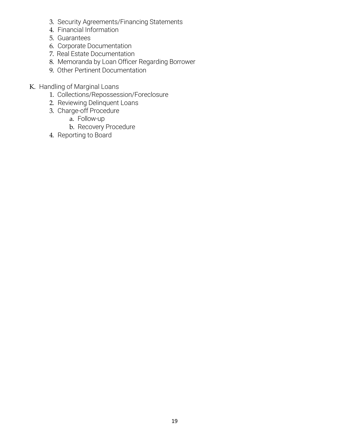- 3. Security Agreements/Financing Statements
- 4. Financial Information
- 5. Guarantees
- 6. Corporate Documentation
- 7. Real Estate Documentation
- 8. Memoranda by Loan Officer Regarding Borrower
- 9. Other Pertinent Documentation
- K. Handling of Marginal Loans
	- 1. Collections/Repossession/Foreclosure
	- 2. Reviewing Delinquent Loans
	- 3. Charge-off Procedure
		- a. Follow-up
		- b. Recovery Procedure
	- 4. Reporting to Board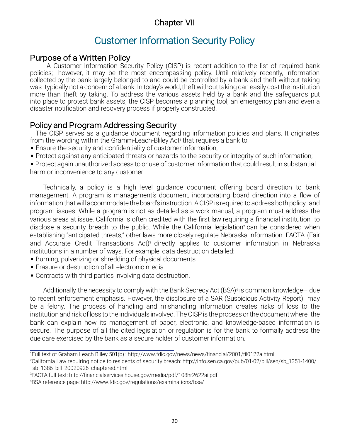# Chapter VII

# Customer Information Security Policy

# Purpose of a Written Policy

A Customer Information Security Policy (CISP) is recent addition to the list of required bank policies; however, it may be the most encompassing policy. Until relatively recently, information collected by the bank largely belonged to and could be controlled by a bank and theft without taking was typically not a concern of a bank. In today's world, theft without taking can easily cost the institution more than theft by taking. To address the various assets held by a bank and the safeguards put into place to protect bank assets, the CISP becomes a planning tool, an emergency plan and even a disaster notification and recovery process if properly constructed.

# Policy and Program Addressing Security

The CISP serves as a guidance document regarding information policies and plans. It originates from the wording within the Gramm-Leach-Bliley Act<sup>1</sup> that requires a bank to:

- Ensure the security and confidentiality of customer information;
- Protect against any anticipated threats or hazards to the security or integrity of such information;

• Protect again unauthorized access to or use of customer information that could result in substantial harm or inconvenience to any customer.

Technically, a policy is a high level guidance document offering board direction to bank management. A program is management's document, incorporating board direction into a flow of information that will accommodate the board's instruction. A CISP is required to address both policy and program issues. While a program is not as detailed as a work manual, a program must address the various areas at issue. California is often credited with the first law requiring a financial institution to disclose a security breach to the public. While the California legislation<sup>2</sup> can be considered when establishing "anticipated threats," other laws more closely regulate Nebraska information. FACTA (Fair and Accurate Credit Transactions Act)<sup>3</sup> directly applies to customer information in Nebraska institutions in a number of ways. For example, data destruction detailed:

- Burning, pulverizing or shredding of physical documents
- Erasure or destruction of all electronic media
- Contracts with third parties involving data destruction.

Additionally, the necessity to comply with the Bank Secrecy Act (BSA)<sup>4</sup> is common knowledge— due to recent enforcement emphasis. However, the disclosure of a SAR (Suspicious Activity Report) may be a felony. The process of handling and mishandling information creates risks of loss to the institution and risk of loss to the individuals involved. The CISP is the process or the document where the bank can explain how its management of paper, electronic, and knowledge-based information is secure. The purpose of all the cited legislation or regulation is for the bank to formally address the due care exercised by the bank as a secure holder of customer information.

<sup>1</sup> Full text of Graham Leach Bliley 501(b) : <http://www.fdic.gov/news/news/financial/2001/fil0122a.html>

<sup>2</sup> California Law requiring notice to residents of security breach: [http://info.sen.ca.gov/pub/01-02/bill/sen/sb\\_1351-1400/](http://info.sen.ca.gov/pub/01-02/bill/sen/sb_1351-1400/) sb\_1386\_bill\_20020926\_chaptered.html

<sup>3</sup> FACTA full text: <http://financialservices.house.gov/media/pdf/108hr2622ai.pdf>

<sup>4</sup> BSA reference page: <http://www.fdic.gov/regulations/examinations/bsa/>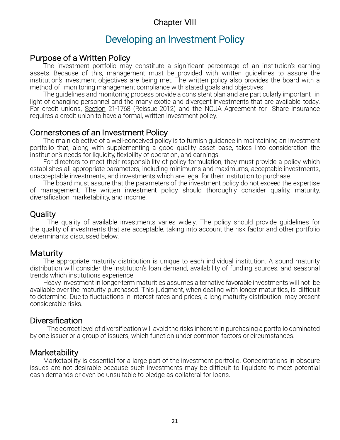# Chapter VIII

# Developing an Investment Policy

### Purpose of a Written Policy

The investment portfolio may constitute a significant percentage of an institution's earning assets. Because of this, management must be provided with written guidelines to assure the institution's investment objectives are being met. The written policy also provides the board with a method of monitoring management compliance with stated goals and objectives.

The guidelines and monitoring process provide a consistent plan and are particularly important in light of changing personnel and the many exotic and divergent investments that are available today. For credit unions, Section 21-1768 (Reissue 2012) and the NCUA Agreement for Share Insurance requires a credit union to have a formal, written investment policy.

### Cornerstones of an Investment Policy

The main objective of a well-conceived policy is to furnish guidance in maintaining an investment portfolio that, along with supplementing a good quality asset base, takes into consideration the institution's needs for liquidity, flexibility of operation, and earnings.

For directors to meet their responsibility of policy formulation, they must provide a policy which establishes all appropriate parameters, including minimums and maximums, acceptable investments, unacceptable investments, and investments which are legal for their institution to purchase.

The board must assure that the parameters of the investment policy do not exceed the expertise of management. The written investment policy should thoroughly consider quality, maturity, diversification, marketability, and income.

# **Quality**

The quality of available investments varies widely. The policy should provide guidelines for the quality of investments that are acceptable, taking into account the risk factor and other portfolio determinants discussed below.

# Maturity

The appropriate maturity distribution is unique to each individual institution. A sound maturity distribution will consider the institution's loan demand, availability of funding sources, and seasonal trends which institutions experience.

Heavy investment in longer-term maturities assumes alternative favorable investments will not be available over the maturity purchased. This judgment, when dealing with longer maturities, is difficult to determine. Due to fluctuations in interest rates and prices, a long maturity distribution may present considerable risks.

#### **Diversification**

The correct level of diversification will avoid the risks inherent in purchasing a portfolio dominated by one issuer or a group of issuers, which function under common factors or circumstances.

# **Marketability**

Marketability is essential for a large part of the investment portfolio. Concentrations in obscure issues are not desirable because such investments may be difficult to liquidate to meet potential cash demands or even be unsuitable to pledge as collateral for loans.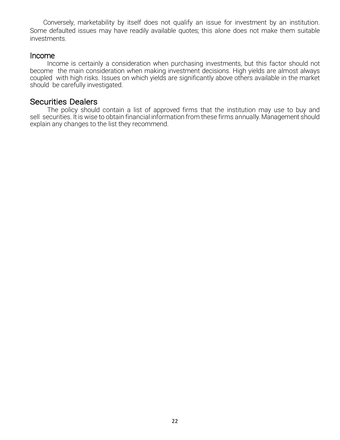Conversely, marketability by itself does not qualify an issue for investment by an institution. Some defaulted issues may have readily available quotes; this alone does not make them suitable investments.

#### Income

Income is certainly a consideration when purchasing investments, but this factor should not become the main consideration when making investment decisions. High yields are almost always coupled with high risks. Issues on which yields are significantly above others available in the market should be carefully investigated.

#### Securities Dealers

The policy should contain a list of approved firms that the institution may use to buy and sell securities. It is wise to obtain financial information from these firms annually. Management should explain any changes to the list they recommend.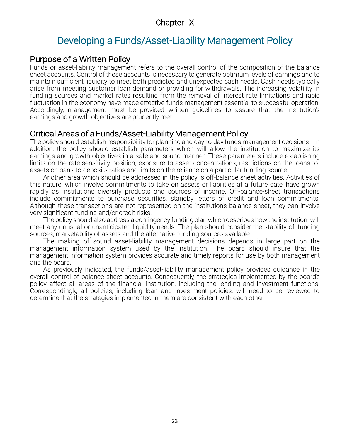# Chapter IX

# Developing a Funds/Asset-Liability Management Policy

#### Purpose of a Written Policy

Funds or asset-liability management refers to the overall control of the composition of the balance sheet accounts. Control of these accounts is necessary to generate optimum levels of earnings and to maintain sufficient liquidity to meet both predicted and unexpected cash needs. Cash needs typically arise from meeting customer loan demand or providing for withdrawals. The increasing volatility in funding sources and market rates resulting from the removal of interest rate limitations and rapid fluctuation in the economy have made effective funds management essential to successful operation. Accordingly, management must be provided written guidelines to assure that the institution's earnings and growth objectives are prudently met.

# Critical Areas of a Funds/Asset-Liability Management Policy

The policy should establish responsibility for planning and day-to-day funds management decisions. In addition, the policy should establish parameters which will allow the institution to maximize its earnings and growth objectives in a safe and sound manner. These parameters include establishing limits on the rate-sensitivity position, exposure to asset concentrations, restrictions on the loans-toassets or loans-to-deposits ratios and limits on the reliance on a particular funding source.

Another area which should be addressed in the policy is off-balance sheet activities. Activities of this nature, which involve commitments to take on assets or liabilities at a future date, have grown rapidly as institutions diversify products and sources of income. Off-balance-sheet transactions include commitments to purchase securities, standby letters of credit and loan commitments. Although these transactions are not represented on the institution's balance sheet, they can involve very significant funding and/or credit risks.

The policy should also address a contingency funding plan which describes howthe institution will meet any unusual or unanticipated liquidity needs. The plan should consider the stability of funding sources, marketability of assets and the alternative funding sources available.

The making of sound asset-liability management decisions depends in large part on the management information system used by the institution. The board should insure that the management information system provides accurate and timely reports for use by both management and the board.

As previously indicated, the funds/asset-liability management policy provides guidance in the overall control of balance sheet accounts. Consequently, the strategies implemented by the board's policy affect all areas of the financial institution, including the lending and investment functions. Correspondingly, all policies, including loan and investment policies, will need to be reviewed to determine that the strategies implemented in them are consistent with each other.